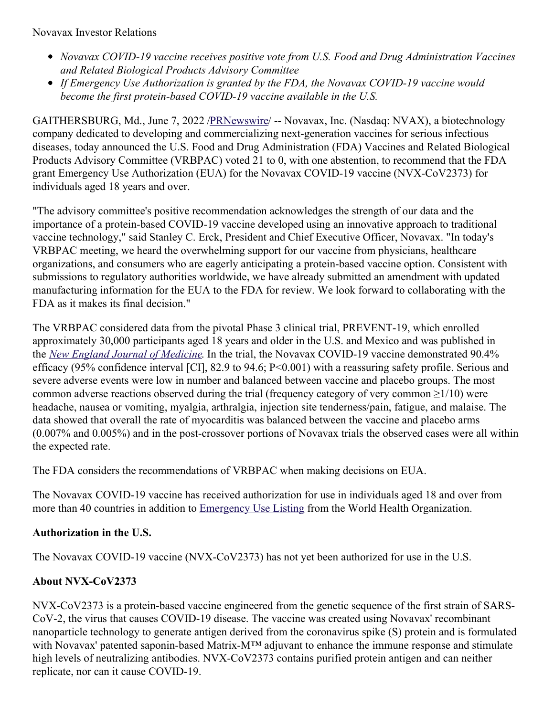Novavax Investor Relations

- *Novavax COVID-19 vaccine receives positive vote from U.S. Food and Drug Administration Vaccines and Related Biological Products Advisory Committee*
- *If Emergency Use Authorization is granted by the FDA, the Novavax COVID-19 vaccine would become the first protein-based COVID-19 vaccine available in the U.S.*

GAITHERSBURG, Md., June 7, 2022 [/PRNewswire](http://www.prnewswire.com/)/ -- Novavax, Inc. (Nasdaq: NVAX), a biotechnology company dedicated to developing and commercializing next-generation vaccines for serious infectious diseases, today announced the U.S. Food and Drug Administration (FDA) Vaccines and Related Biological Products Advisory Committee (VRBPAC) voted 21 to 0, with one abstention, to recommend that the FDA grant Emergency Use Authorization (EUA) for the Novavax COVID-19 vaccine (NVX-CoV2373) for individuals aged 18 years and over.

"The advisory committee's positive recommendation acknowledges the strength of our data and the importance of a protein-based COVID-19 vaccine developed using an innovative approach to traditional vaccine technology," said Stanley C. Erck, President and Chief Executive Officer, Novavax. "In today's VRBPAC meeting, we heard the overwhelming support for our vaccine from physicians, healthcare organizations, and consumers who are eagerly anticipating a protein-based vaccine option. Consistent with submissions to regulatory authorities worldwide, we have already submitted an amendment with updated manufacturing information for the EUA to the FDA for review. We look forward to collaborating with the FDA as it makes its final decision."

The VRBPAC considered data from the pivotal Phase 3 clinical trial, PREVENT-19, which enrolled approximately 30,000 participants aged 18 years and older in the U.S. and Mexico and was published in the *New England Journal of [Medicine](https://c212.net/c/link/?t=0&l=en&o=3560647-1&h=3880827182&u=https%3A%2F%2Fc212.net%2Fc%2Flink%2F%3Ft%3D0%26l%3Den%26o%3D3407775-1%26h%3D907997649%26u%3Dhttps%253A%252F%252Fwww.nejm.org%252Fdoi%252Ffull%252F10.1056%252FNEJMoa2116185%253Fquery%253Dfeatured_home%26a%3DNew%2BEngland%2BJournal%2Bof%2BMedicine&a=New+England+Journal+of+Medicine)*. In the trial, the Novavax COVID-19 vaccine demonstrated 90.4% efficacy (95% confidence interval [CI], 82.9 to 94.6; P<0.001) with a reassuring safety profile. Serious and severe adverse events were low in number and balanced between vaccine and placebo groups. The most common adverse reactions observed during the trial (frequency category of very common  $\geq 1/10$ ) were headache, nausea or vomiting, myalgia, arthralgia, injection site tenderness/pain, fatigue, and malaise. The data showed that overall the rate of myocarditis was balanced between the vaccine and placebo arms (0.007% and 0.005%) and in the post-crossover portions of Novavax trials the observed cases were all within the expected rate.

The FDA considers the recommendations of VRBPAC when making decisions on EUA.

The Novavax COVID-19 vaccine has received authorization for use in individuals aged 18 and over from more than 40 countries in addition to [Emergency](https://c212.net/c/link/?t=0&l=en&o=3560647-1&h=482690262&u=https%3A%2F%2Fir.novavax.com%2F2021-12-20-World-Health-Organization-Grants-Second-Emergency-Use-Listing-for-Novavax-COVID-19-Vaccine&a=Emergency+Use+Listing) Use Listing from the World Health Organization.

## **Authorization in the U.S.**

The Novavax COVID-19 vaccine (NVX-CoV2373) has not yet been authorized for use in the U.S.

## **About NVX-CoV2373**

NVX-CoV2373 is a protein-based vaccine engineered from the genetic sequence of the first strain of SARS-CoV-2, the virus that causes COVID-19 disease. The vaccine was created using Novavax' recombinant nanoparticle technology to generate antigen derived from the coronavirus spike (S) protein and is formulated with Novavax' patented saponin-based Matrix-M™ adjuvant to enhance the immune response and stimulate high levels of neutralizing antibodies. NVX-CoV2373 contains purified protein antigen and can neither replicate, nor can it cause COVID-19.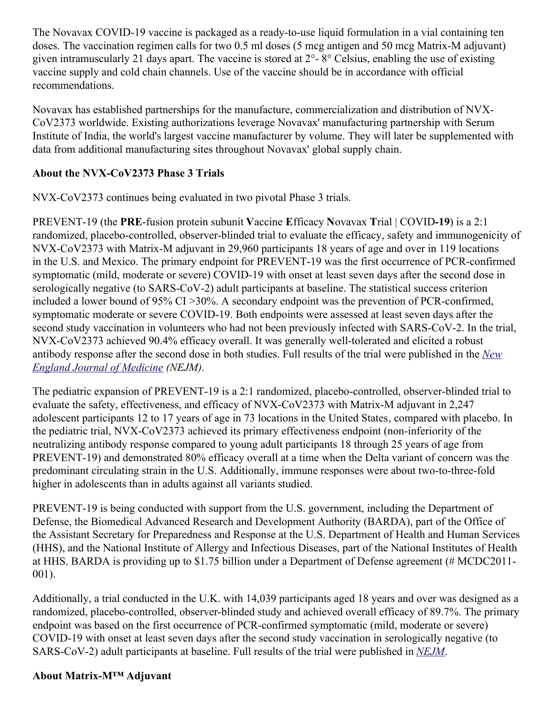The Novavax COVID-19 vaccine is packaged as a ready-to-use liquid formulation in a vial containing ten doses. The vaccination regimen calls for two 0.5 ml doses (5 mcg antigen and 50 mcg Matrix-M adjuvant) given intramuscularly 21 days apart. The vaccine is stored at 2°- 8° Celsius, enabling the use of existing vaccine supply and cold chain channels. Use of the vaccine should be in accordance with official recommendations.

Novavax has established partnerships for the manufacture, commercialization and distribution of NVX-CoV2373 worldwide. Existing authorizations leverage Novavax' manufacturing partnership with Serum Institute of India, the world's largest vaccine manufacturer by volume. They will later be supplemented with data from additional manufacturing sites throughout Novavax' global supply chain.

# **About the NVX-CoV2373 Phase 3 Trials**

NVX-CoV2373 continues being evaluated in two pivotal Phase 3 trials.

PREVENT-19 (the **PRE**-fusion protein subunit **V**accine **E**fficacy **N**ovavax **T**rial | COVID**-19**) is a 2:1 randomized, placebo-controlled, observer-blinded trial to evaluate the efficacy, safety and immunogenicity of NVX-CoV2373 with Matrix-M adjuvant in 29,960 participants 18 years of age and over in 119 locations in the U.S. and Mexico. The primary endpoint for PREVENT-19 was the first occurrence of PCR-confirmed symptomatic (mild, moderate or severe) COVID-19 with onset at least seven days after the second dose in serologically negative (to SARS-CoV-2) adult participants at baseline. The statistical success criterion included a lower bound of 95% CI >30%. A secondary endpoint was the prevention of PCR-confirmed, symptomatic moderate or severe COVID-19. Both endpoints were assessed at least seven days after the second study vaccination in volunteers who had not been previously infected with SARS-CoV-2. In the trial, NVX-CoV2373 achieved 90.4% efficacy overall. It was generally well-tolerated and elicited a robust antibody response after the second dose in both studies. Full results of the trial were [published](https://c212.net/c/link/?t=0&l=en&o=3560647-1&h=2360709328&u=https%3A%2F%2Fc212.net%2Fc%2Flink%2F%3Ft%3D0%26l%3Den%26o%3D3440781-1%26h%3D467849857%26u%3Dhttps%253A%252F%252Fwww.nejm.org%252Fdoi%252Ffull%252F10.1056%252FNEJMoa2116185%253Fquery%253Dfeatured_home%26a%3DNew%2BEngland%2BJournal%2Bof%2BMedicine&a=New+England+Journal+of+Medicine) in the *New England Journal of Medicine (NEJM).*

The pediatric expansion of PREVENT-19 is a 2:1 randomized, placebo-controlled, observer-blinded trial to evaluate the safety, effectiveness, and efficacy of NVX-CoV2373 with Matrix-M adjuvant in 2,247 adolescent participants 12 to 17 years of age in 73 locations in the United States, compared with placebo. In the pediatric trial, NVX-CoV2373 achieved its primary effectiveness endpoint (non-inferiority of the neutralizing antibody response compared to young adult participants 18 through 25 years of age from PREVENT-19) and demonstrated 80% efficacy overall at a time when the Delta variant of concern was the predominant circulating strain in the U.S. Additionally, immune responses were about two-to-three-fold higher in adolescents than in adults against all variants studied.

PREVENT-19 is being conducted with support from the U.S. government, including the Department of Defense, the Biomedical Advanced Research and Development Authority (BARDA), part of the Office of the Assistant Secretary for Preparedness and Response at the U.S. Department of Health and Human Services (HHS), and the National Institute of Allergy and Infectious Diseases, part of the National Institutes of Health at HHS. BARDA is providing up to \$1.75 billion under a Department of Defense agreement (# MCDC2011- 001).

Additionally, a trial conducted in the U.K. with 14,039 participants aged 18 years and over was designed as a randomized, placebo-controlled, observer-blinded study and achieved overall efficacy of 89.7%. The primary endpoint was based on the first occurrence of PCR-confirmed symptomatic (mild, moderate or severe) COVID-19 with onset at least seven days after the second study vaccination in serologically negative (to SARS-CoV-2) adult participants at baseline. Full results of the trial were published in *[NEJM](https://c212.net/c/link/?t=0&l=en&o=3560647-1&h=1866415503&u=https%3A%2F%2Fc212.net%2Fc%2Flink%2F%3Ft%3D0%26l%3Den%26o%3D3440781-1%26h%3D3617137863%26u%3Dhttps%253A%252F%252Fwww.nejm.org%252Fdoi%252Ffull%252F10.1056%252FNEJMoa2107659%26a%3DNEJM&a=NEJM)*.

## **About Matrix-M™ Adjuvant**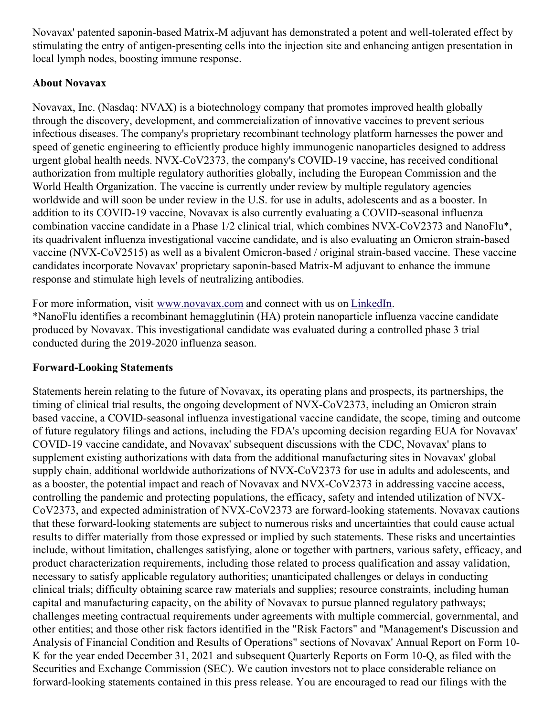Novavax' patented saponin-based Matrix-M adjuvant has demonstrated a potent and well-tolerated effect by stimulating the entry of antigen-presenting cells into the injection site and enhancing antigen presentation in local lymph nodes, boosting immune response.

## **About Novavax**

Novavax, Inc. (Nasdaq: NVAX) is a biotechnology company that promotes improved health globally through the discovery, development, and commercialization of innovative vaccines to prevent serious infectious diseases. The company's proprietary recombinant technology platform harnesses the power and speed of genetic engineering to efficiently produce highly immunogenic nanoparticles designed to address urgent global health needs. NVX-CoV2373, the company's COVID-19 vaccine, has received conditional authorization from multiple regulatory authorities globally, including the European Commission and the World Health Organization. The vaccine is currently under review by multiple regulatory agencies worldwide and will soon be under review in the U.S. for use in adults, adolescents and as a booster. In addition to its COVID-19 vaccine, Novavax is also currently evaluating a COVID-seasonal influenza combination vaccine candidate in a Phase 1/2 clinical trial, which combines NVX-CoV2373 and NanoFlu\*, its quadrivalent influenza investigational vaccine candidate, and is also evaluating an Omicron strain-based vaccine (NVX-CoV2515) as well as a bivalent Omicron-based / original strain-based vaccine. These vaccine candidates incorporate Novavax' proprietary saponin-based Matrix-M adjuvant to enhance the immune response and stimulate high levels of neutralizing antibodies.

For more information, visit [www.novavax.com](https://c212.net/c/link/?t=0&l=en&o=3560647-1&h=2357721308&u=https%3A%2F%2Fc212.net%2Fc%2Flink%2F%3Ft%3D0%26l%3Den%26o%3D3460980-1%26h%3D3623927874%26u%3Dhttps%253A%252F%252Fc212.net%252Fc%252Flink%252F%253Ft%253D0%2526l%253Den%2526o%253D3457869-1%2526h%253D982408174%2526u%253Dhttps%25253A%25252F%25252Fc212.net%25252Fc%25252Flink%25252F%25253Ft%25253D0%252526l%25253Den%252526o%25253D3440781-1%252526h%25253D3964594936%252526u%25253Dhttps%2525253A%2525252F%2525252Fc212.net%2525252Fc%2525252Flink%2525252F%2525253Ft%2525253D0%25252526l%2525253Den%25252526o%2525253D3395501-1%25252526h%2525253D2463599076%25252526u%2525253Dhttps%252525253A%252525252F%252525252Fc212.net%252525252Fc%252525252Flink%252525252F%252525253Ft%252525253D0%2525252526l%252525253Den%2525252526o%252525253D3392093-1%2525252526h%252525253D203886192%2525252526u%252525253Dhttps%25252525253A%25252525252F%25252525252Fc212.net%25252525252Fc%25252525252Flink%25252525252F%25252525253Ft%25252525253D0%252525252526l%25252525253Den%252525252526o%25252525253D3387216-1%252525252526h%25252525253D3917401194%252525252526u%25252525253Dhttps%2525252525253A%2525252525252F%2525252525252Fc212.net%2525252525252Fc%2525252525252Flink%2525252525252F%2525252525253Ft%2525252525253D0%25252525252526l%2525252525253Den%25252525252526o%2525252525253D3260461-1%25252525252526h%2525252525253D2897486098%25252525252526u%2525252525253Dhttp%252525252525253A%252525252525252F%252525252525252Fwww.novavax.com%252525252525252F%25252525252526a%2525252525253Dwww.novavax.com%252525252526a%25252525253Dwww.novavax.com%2525252526a%252525253Dwww.novavax.com%25252526a%2525253Dwww.novavax.com%252526a%25253Dwww.novavax.com%2526a%253Dwww.novavax.com%26a%3Dwww.novavax.com&a=www.novavax.com) and connect with us on [LinkedIn](https://c212.net/c/link/?t=0&l=en&o=3560647-1&h=2423739309&u=https%3A%2F%2Fc212.net%2Fc%2Flink%2F%3Ft%3D0%26l%3Den%26o%3D3460980-1%26h%3D91088807%26u%3Dhttps%253A%252F%252Fc212.net%252Fc%252Flink%252F%253Ft%253D0%2526l%253Den%2526o%253D3457869-1%2526h%253D1725473980%2526u%253Dhttps%25253A%25252F%25252Fc212.net%25252Fc%25252Flink%25252F%25253Ft%25253D0%252526l%25253Den%252526o%25253D3440781-1%252526h%25253D2733326919%252526u%25253Dhttps%2525253A%2525252F%2525252Fc212.net%2525252Fc%2525252Flink%2525252F%2525253Ft%2525253D0%25252526l%2525253Den%25252526o%2525253D3395501-1%25252526h%2525253D853375093%25252526u%2525253Dhttps%252525253A%252525252F%252525252Fc212.net%252525252Fc%252525252Flink%252525252F%252525253Ft%252525253D0%2525252526l%252525253Den%2525252526o%252525253D3392093-1%2525252526h%252525253D1325598136%2525252526u%252525253Dhttps%25252525253A%25252525252F%25252525252Fc212.net%25252525252Fc%25252525252Flink%25252525252F%25252525253Ft%25252525253D0%252525252526l%25252525253Den%252525252526o%25252525253D3387216-1%252525252526h%25252525253D2935962557%252525252526u%25252525253Dhttps%2525252525253A%2525252525252F%2525252525252Fc212.net%2525252525252Fc%2525252525252Flink%2525252525252F%2525252525253Ft%2525252525253D0%25252525252526l%2525252525253Den%25252525252526o%2525252525253D3260461-1%25252525252526h%2525252525253D1508558197%25252525252526u%2525252525253Dhttps%252525252525253A%252525252525252F%252525252525252Fc212.net%252525252525252Fc%252525252525252Flink%252525252525252F%252525252525253Ft%252525252525253D0%2525252525252526l%252525252525253Den%2525252525252526o%252525252525253D3158017-1%2525252525252526h%252525252525253D3702938248%2525252525252526u%252525252525253Dhttps%25252525252525253A%25252525252525252F%25252525252525252Fwww.linkedin.com%25252525252525252Fcompany%25252525252525252Fnovavax%25252525252525252F%2525252525252526a%252525252525253DLinkedIn%25252525252526a%2525252525253DLinkedIn%252525252526a%25252525253DLinkedIn%2525252526a%252525253DLinkedIn%25252526a%2525253DLinkedIn%252526a%25253DLinkedIn%2526a%253DLinkedIn%26a%3DLinkedIn&a=LinkedIn). \*NanoFlu identifies a recombinant hemagglutinin (HA) protein nanoparticle influenza vaccine candidate produced by Novavax. This investigational candidate was evaluated during a controlled phase 3 trial conducted during the 2019-2020 influenza season.

## **Forward-Looking Statements**

Statements herein relating to the future of Novavax, its operating plans and prospects, its partnerships, the timing of clinical trial results, the ongoing development of NVX-CoV2373, including an Omicron strain based vaccine, a COVID-seasonal influenza investigational vaccine candidate, the scope, timing and outcome of future regulatory filings and actions, including the FDA's upcoming decision regarding EUA for Novavax' COVID-19 vaccine candidate, and Novavax' subsequent discussions with the CDC, Novavax' plans to supplement existing authorizations with data from the additional manufacturing sites in Novavax' global supply chain, additional worldwide authorizations of NVX-CoV2373 for use in adults and adolescents, and as a booster, the potential impact and reach of Novavax and NVX-CoV2373 in addressing vaccine access, controlling the pandemic and protecting populations, the efficacy, safety and intended utilization of NVX-CoV2373, and expected administration of NVX-CoV2373 are forward-looking statements. Novavax cautions that these forward-looking statements are subject to numerous risks and uncertainties that could cause actual results to differ materially from those expressed or implied by such statements. These risks and uncertainties include, without limitation, challenges satisfying, alone or together with partners, various safety, efficacy, and product characterization requirements, including those related to process qualification and assay validation, necessary to satisfy applicable regulatory authorities; unanticipated challenges or delays in conducting clinical trials; difficulty obtaining scarce raw materials and supplies; resource constraints, including human capital and manufacturing capacity, on the ability of Novavax to pursue planned regulatory pathways; challenges meeting contractual requirements under agreements with multiple commercial, governmental, and other entities; and those other risk factors identified in the "Risk Factors" and "Management's Discussion and Analysis of Financial Condition and Results of Operations" sections of Novavax' Annual Report on Form 10- K for the year ended December 31, 2021 and subsequent Quarterly Reports on Form 10-Q, as filed with the Securities and Exchange Commission (SEC). We caution investors not to place considerable reliance on forward-looking statements contained in this press release. You are encouraged to read our filings with the